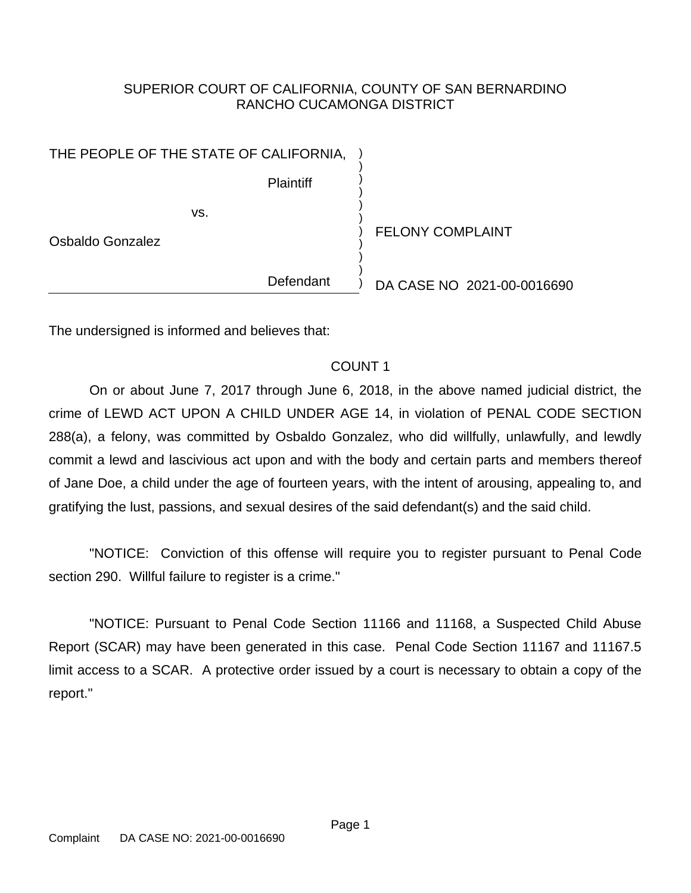## SUPERIOR COURT OF CALIFORNIA, COUNTY OF SAN BERNARDINO RANCHO CUCAMONGA DISTRICT

) ) ) ) ) ) ) ) ) ) )

**Plaintiff** 

vs.

Osbaldo Gonzalez

FELONY COMPLAINT

Defendant

DA CASE NO 2021-00-0016690

The undersigned is informed and believes that:

# COUNT 1

On or about June 7, 2017 through June 6, 2018, in the above named judicial district, the crime of LEWD ACT UPON A CHILD UNDER AGE 14, in violation of PENAL CODE SECTION 288(a), a felony, was committed by Osbaldo Gonzalez, who did willfully, unlawfully, and lewdly commit a lewd and lascivious act upon and with the body and certain parts and members thereof of Jane Doe, a child under the age of fourteen years, with the intent of arousing, appealing to, and gratifying the lust, passions, and sexual desires of the said defendant(s) and the said child.

"NOTICE: Conviction of this offense will require you to register pursuant to Penal Code section 290. Willful failure to register is a crime."

"NOTICE: Pursuant to Penal Code Section 11166 and 11168, a Suspected Child Abuse Report (SCAR) may have been generated in this case. Penal Code Section 11167 and 11167.5 limit access to a SCAR. A protective order issued by a court is necessary to obtain a copy of the report."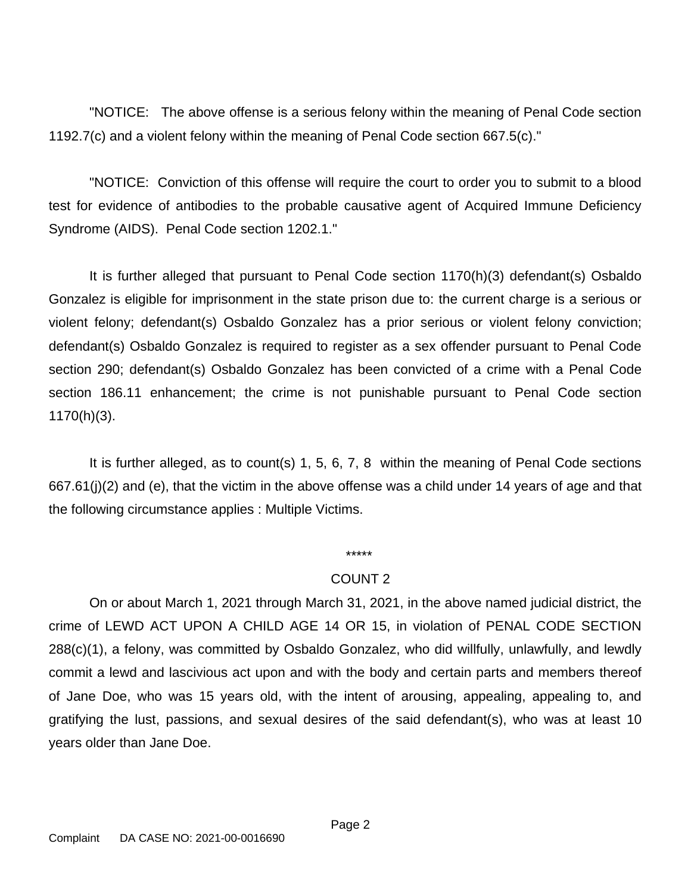"NOTICE: The above offense is a serious felony within the meaning of Penal Code section 1192.7(c) and a violent felony within the meaning of Penal Code section 667.5(c)."

"NOTICE: Conviction of this offense will require the court to order you to submit to a blood test for evidence of antibodies to the probable causative agent of Acquired Immune Deficiency Syndrome (AIDS). Penal Code section 1202.1."

It is further alleged that pursuant to Penal Code section 1170(h)(3) defendant(s) Osbaldo Gonzalez is eligible for imprisonment in the state prison due to: the current charge is a serious or violent felony; defendant(s) Osbaldo Gonzalez has a prior serious or violent felony conviction; defendant(s) Osbaldo Gonzalez is required to register as a sex offender pursuant to Penal Code section 290; defendant(s) Osbaldo Gonzalez has been convicted of a crime with a Penal Code section 186.11 enhancement; the crime is not punishable pursuant to Penal Code section 1170(h)(3).

It is further alleged, as to count(s) 1, 5, 6, 7, 8 within the meaning of Penal Code sections 667.61(j)(2) and (e), that the victim in the above offense was a child under 14 years of age and that the following circumstance applies : Multiple Victims.

#### \*\*\*\*\*

## COUNT 2

On or about March 1, 2021 through March 31, 2021, in the above named judicial district, the crime of LEWD ACT UPON A CHILD AGE 14 OR 15, in violation of PENAL CODE SECTION 288(c)(1), a felony, was committed by Osbaldo Gonzalez, who did willfully, unlawfully, and lewdly commit a lewd and lascivious act upon and with the body and certain parts and members thereof of Jane Doe, who was 15 years old, with the intent of arousing, appealing, appealing to, and gratifying the lust, passions, and sexual desires of the said defendant(s), who was at least 10 years older than Jane Doe.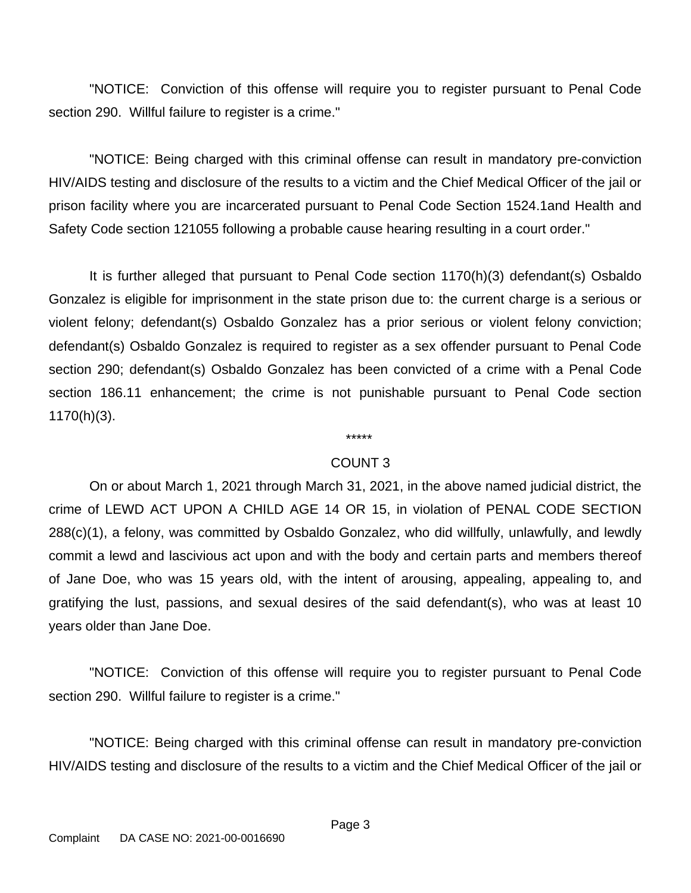"NOTICE: Conviction of this offense will require you to register pursuant to Penal Code section 290. Willful failure to register is a crime."

"NOTICE: Being charged with this criminal offense can result in mandatory pre-conviction HIV/AIDS testing and disclosure of the results to a victim and the Chief Medical Officer of the jail or prison facility where you are incarcerated pursuant to Penal Code Section 1524.1and Health and Safety Code section 121055 following a probable cause hearing resulting in a court order."

It is further alleged that pursuant to Penal Code section 1170(h)(3) defendant(s) Osbaldo Gonzalez is eligible for imprisonment in the state prison due to: the current charge is a serious or violent felony; defendant(s) Osbaldo Gonzalez has a prior serious or violent felony conviction; defendant(s) Osbaldo Gonzalez is required to register as a sex offender pursuant to Penal Code section 290; defendant(s) Osbaldo Gonzalez has been convicted of a crime with a Penal Code section 186.11 enhancement; the crime is not punishable pursuant to Penal Code section 1170(h)(3).

## \*\*\*\*\*

## COUNT 3

On or about March 1, 2021 through March 31, 2021, in the above named judicial district, the crime of LEWD ACT UPON A CHILD AGE 14 OR 15, in violation of PENAL CODE SECTION 288(c)(1), a felony, was committed by Osbaldo Gonzalez, who did willfully, unlawfully, and lewdly commit a lewd and lascivious act upon and with the body and certain parts and members thereof of Jane Doe, who was 15 years old, with the intent of arousing, appealing, appealing to, and gratifying the lust, passions, and sexual desires of the said defendant(s), who was at least 10 years older than Jane Doe.

"NOTICE: Conviction of this offense will require you to register pursuant to Penal Code section 290. Willful failure to register is a crime."

"NOTICE: Being charged with this criminal offense can result in mandatory pre-conviction HIV/AIDS testing and disclosure of the results to a victim and the Chief Medical Officer of the jail or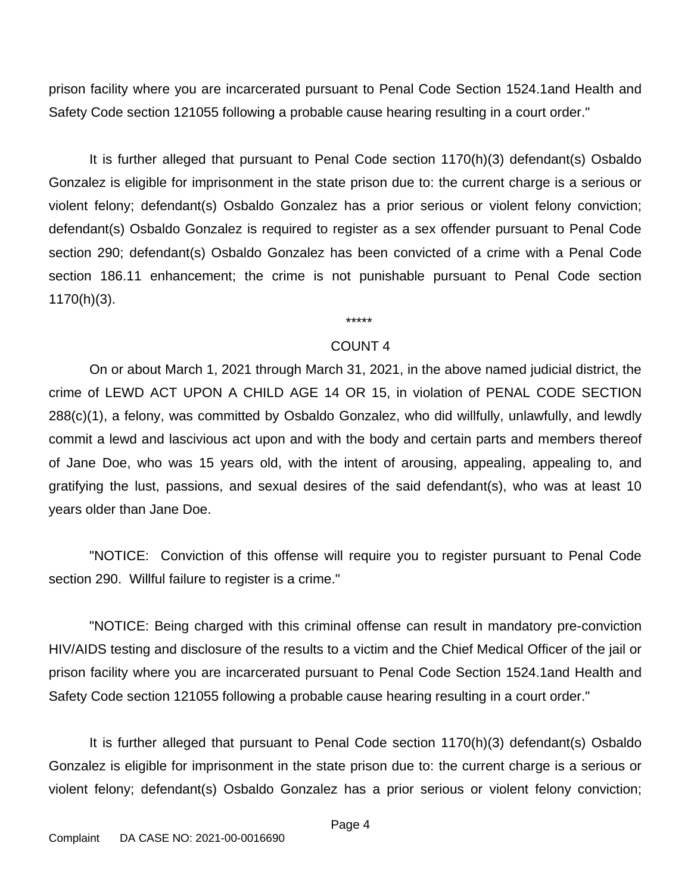prison facility where you are incarcerated pursuant to Penal Code Section 1524.1and Health and Safety Code section 121055 following a probable cause hearing resulting in a court order."

It is further alleged that pursuant to Penal Code section 1170(h)(3) defendant(s) Osbaldo Gonzalez is eligible for imprisonment in the state prison due to: the current charge is a serious or violent felony; defendant(s) Osbaldo Gonzalez has a prior serious or violent felony conviction; defendant(s) Osbaldo Gonzalez is required to register as a sex offender pursuant to Penal Code section 290; defendant(s) Osbaldo Gonzalez has been convicted of a crime with a Penal Code section 186.11 enhancement; the crime is not punishable pursuant to Penal Code section 1170(h)(3).

#### COUNT 4

On or about March 1, 2021 through March 31, 2021, in the above named judicial district, the crime of LEWD ACT UPON A CHILD AGE 14 OR 15, in violation of PENAL CODE SECTION 288(c)(1), a felony, was committed by Osbaldo Gonzalez, who did willfully, unlawfully, and lewdly commit a lewd and lascivious act upon and with the body and certain parts and members thereof of Jane Doe, who was 15 years old, with the intent of arousing, appealing, appealing to, and gratifying the lust, passions, and sexual desires of the said defendant(s), who was at least 10 years older than Jane Doe.

"NOTICE: Conviction of this offense will require you to register pursuant to Penal Code section 290. Willful failure to register is a crime."

"NOTICE: Being charged with this criminal offense can result in mandatory pre-conviction HIV/AIDS testing and disclosure of the results to a victim and the Chief Medical Officer of the jail or prison facility where you are incarcerated pursuant to Penal Code Section 1524.1and Health and Safety Code section 121055 following a probable cause hearing resulting in a court order."

It is further alleged that pursuant to Penal Code section 1170(h)(3) defendant(s) Osbaldo Gonzalez is eligible for imprisonment in the state prison due to: the current charge is a serious or violent felony; defendant(s) Osbaldo Gonzalez has a prior serious or violent felony conviction;

\*\*\*\*\*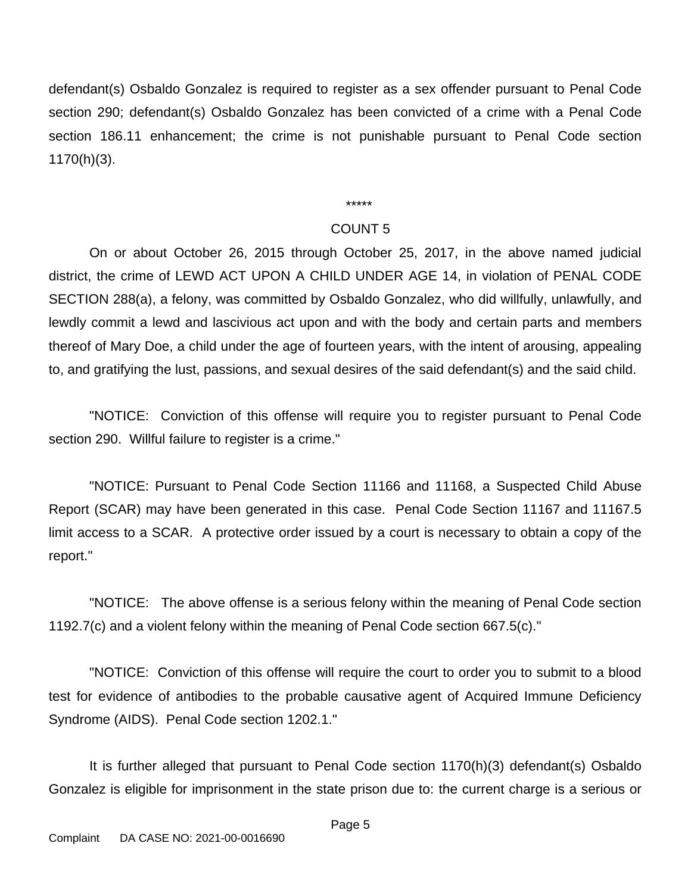defendant(s) Osbaldo Gonzalez is required to register as a sex offender pursuant to Penal Code section 290; defendant(s) Osbaldo Gonzalez has been convicted of a crime with a Penal Code section 186.11 enhancement; the crime is not punishable pursuant to Penal Code section 1170(h)(3).

\*\*\*\*\*

#### COUNT 5

On or about October 26, 2015 through October 25, 2017, in the above named judicial district, the crime of LEWD ACT UPON A CHILD UNDER AGE 14, in violation of PENAL CODE SECTION 288(a), a felony, was committed by Osbaldo Gonzalez, who did willfully, unlawfully, and lewdly commit a lewd and lascivious act upon and with the body and certain parts and members thereof of Mary Doe, a child under the age of fourteen years, with the intent of arousing, appealing to, and gratifying the lust, passions, and sexual desires of the said defendant(s) and the said child.

"NOTICE: Conviction of this offense will require you to register pursuant to Penal Code section 290. Willful failure to register is a crime."

"NOTICE: Pursuant to Penal Code Section 11166 and 11168, a Suspected Child Abuse Report (SCAR) may have been generated in this case. Penal Code Section 11167 and 11167.5 limit access to a SCAR. A protective order issued by a court is necessary to obtain a copy of the report."

"NOTICE: The above offense is a serious felony within the meaning of Penal Code section 1192.7(c) and a violent felony within the meaning of Penal Code section 667.5(c)."

"NOTICE: Conviction of this offense will require the court to order you to submit to a blood test for evidence of antibodies to the probable causative agent of Acquired Immune Deficiency Syndrome (AIDS). Penal Code section 1202.1."

It is further alleged that pursuant to Penal Code section 1170(h)(3) defendant(s) Osbaldo Gonzalez is eligible for imprisonment in the state prison due to: the current charge is a serious or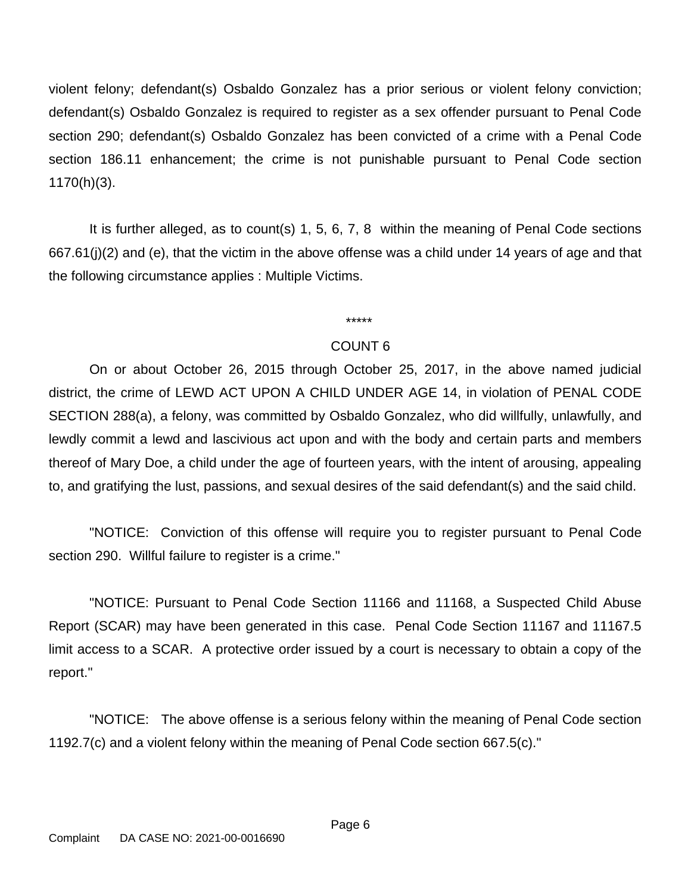violent felony; defendant(s) Osbaldo Gonzalez has a prior serious or violent felony conviction; defendant(s) Osbaldo Gonzalez is required to register as a sex offender pursuant to Penal Code section 290; defendant(s) Osbaldo Gonzalez has been convicted of a crime with a Penal Code section 186.11 enhancement; the crime is not punishable pursuant to Penal Code section 1170(h)(3).

It is further alleged, as to count(s) 1, 5, 6, 7, 8 within the meaning of Penal Code sections 667.61(j)(2) and (e), that the victim in the above offense was a child under 14 years of age and that the following circumstance applies : Multiple Victims.

# COUNT 6

On or about October 26, 2015 through October 25, 2017, in the above named judicial district, the crime of LEWD ACT UPON A CHILD UNDER AGE 14, in violation of PENAL CODE SECTION 288(a), a felony, was committed by Osbaldo Gonzalez, who did willfully, unlawfully, and lewdly commit a lewd and lascivious act upon and with the body and certain parts and members thereof of Mary Doe, a child under the age of fourteen years, with the intent of arousing, appealing to, and gratifying the lust, passions, and sexual desires of the said defendant(s) and the said child.

"NOTICE: Conviction of this offense will require you to register pursuant to Penal Code section 290. Willful failure to register is a crime."

"NOTICE: Pursuant to Penal Code Section 11166 and 11168, a Suspected Child Abuse Report (SCAR) may have been generated in this case. Penal Code Section 11167 and 11167.5 limit access to a SCAR. A protective order issued by a court is necessary to obtain a copy of the report."

"NOTICE: The above offense is a serious felony within the meaning of Penal Code section 1192.7(c) and a violent felony within the meaning of Penal Code section 667.5(c)."

\*\*\*\*\*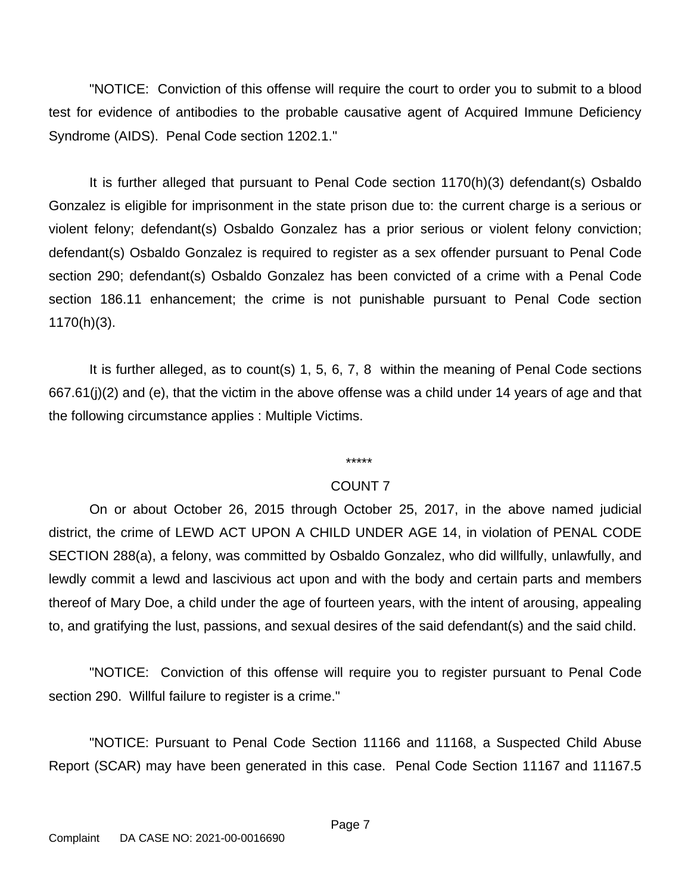"NOTICE: Conviction of this offense will require the court to order you to submit to a blood test for evidence of antibodies to the probable causative agent of Acquired Immune Deficiency Syndrome (AIDS). Penal Code section 1202.1."

It is further alleged that pursuant to Penal Code section 1170(h)(3) defendant(s) Osbaldo Gonzalez is eligible for imprisonment in the state prison due to: the current charge is a serious or violent felony; defendant(s) Osbaldo Gonzalez has a prior serious or violent felony conviction; defendant(s) Osbaldo Gonzalez is required to register as a sex offender pursuant to Penal Code section 290; defendant(s) Osbaldo Gonzalez has been convicted of a crime with a Penal Code section 186.11 enhancement; the crime is not punishable pursuant to Penal Code section 1170(h)(3).

It is further alleged, as to count(s) 1, 5, 6, 7, 8 within the meaning of Penal Code sections 667.61(j)(2) and (e), that the victim in the above offense was a child under 14 years of age and that the following circumstance applies : Multiple Victims.

# \*\*\*\*\*

# COUNT 7

On or about October 26, 2015 through October 25, 2017, in the above named judicial district, the crime of LEWD ACT UPON A CHILD UNDER AGE 14, in violation of PENAL CODE SECTION 288(a), a felony, was committed by Osbaldo Gonzalez, who did willfully, unlawfully, and lewdly commit a lewd and lascivious act upon and with the body and certain parts and members thereof of Mary Doe, a child under the age of fourteen years, with the intent of arousing, appealing to, and gratifying the lust, passions, and sexual desires of the said defendant(s) and the said child.

"NOTICE: Conviction of this offense will require you to register pursuant to Penal Code section 290. Willful failure to register is a crime."

"NOTICE: Pursuant to Penal Code Section 11166 and 11168, a Suspected Child Abuse Report (SCAR) may have been generated in this case. Penal Code Section 11167 and 11167.5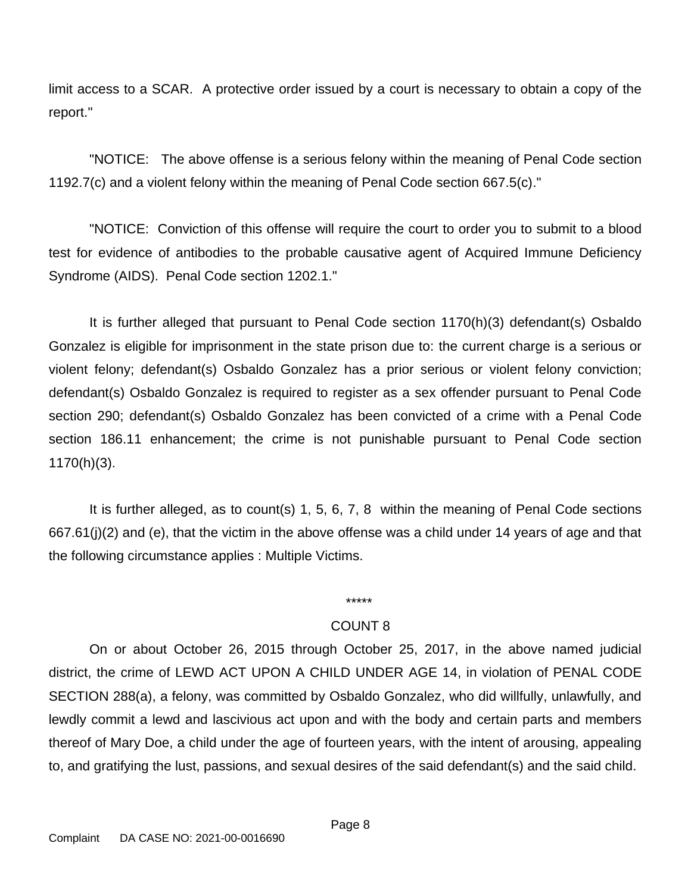limit access to a SCAR. A protective order issued by a court is necessary to obtain a copy of the report."

"NOTICE: The above offense is a serious felony within the meaning of Penal Code section 1192.7(c) and a violent felony within the meaning of Penal Code section 667.5(c)."

"NOTICE: Conviction of this offense will require the court to order you to submit to a blood test for evidence of antibodies to the probable causative agent of Acquired Immune Deficiency Syndrome (AIDS). Penal Code section 1202.1."

It is further alleged that pursuant to Penal Code section 1170(h)(3) defendant(s) Osbaldo Gonzalez is eligible for imprisonment in the state prison due to: the current charge is a serious or violent felony; defendant(s) Osbaldo Gonzalez has a prior serious or violent felony conviction; defendant(s) Osbaldo Gonzalez is required to register as a sex offender pursuant to Penal Code section 290; defendant(s) Osbaldo Gonzalez has been convicted of a crime with a Penal Code section 186.11 enhancement; the crime is not punishable pursuant to Penal Code section 1170(h)(3).

It is further alleged, as to count(s) 1, 5, 6, 7, 8 within the meaning of Penal Code sections 667.61(j)(2) and (e), that the victim in the above offense was a child under 14 years of age and that the following circumstance applies : Multiple Victims.

### \*\*\*\*\*

# COUNT 8

On or about October 26, 2015 through October 25, 2017, in the above named judicial district, the crime of LEWD ACT UPON A CHILD UNDER AGE 14, in violation of PENAL CODE SECTION 288(a), a felony, was committed by Osbaldo Gonzalez, who did willfully, unlawfully, and lewdly commit a lewd and lascivious act upon and with the body and certain parts and members thereof of Mary Doe, a child under the age of fourteen years, with the intent of arousing, appealing to, and gratifying the lust, passions, and sexual desires of the said defendant(s) and the said child.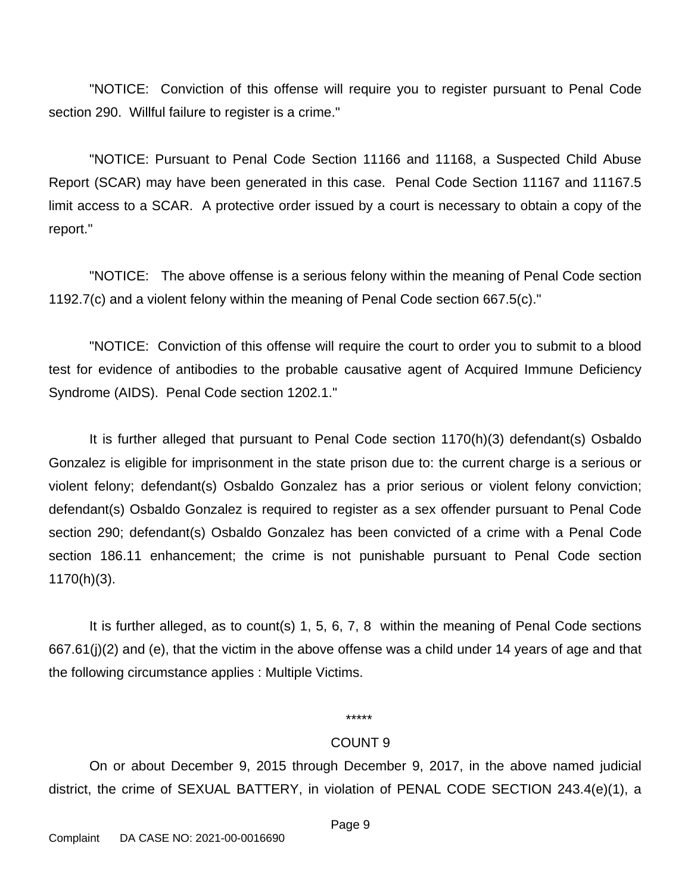"NOTICE: Conviction of this offense will require you to register pursuant to Penal Code section 290. Willful failure to register is a crime."

"NOTICE: Pursuant to Penal Code Section 11166 and 11168, a Suspected Child Abuse Report (SCAR) may have been generated in this case. Penal Code Section 11167 and 11167.5 limit access to a SCAR. A protective order issued by a court is necessary to obtain a copy of the report."

"NOTICE: The above offense is a serious felony within the meaning of Penal Code section 1192.7(c) and a violent felony within the meaning of Penal Code section 667.5(c)."

"NOTICE: Conviction of this offense will require the court to order you to submit to a blood test for evidence of antibodies to the probable causative agent of Acquired Immune Deficiency Syndrome (AIDS). Penal Code section 1202.1."

It is further alleged that pursuant to Penal Code section 1170(h)(3) defendant(s) Osbaldo Gonzalez is eligible for imprisonment in the state prison due to: the current charge is a serious or violent felony; defendant(s) Osbaldo Gonzalez has a prior serious or violent felony conviction; defendant(s) Osbaldo Gonzalez is required to register as a sex offender pursuant to Penal Code section 290; defendant(s) Osbaldo Gonzalez has been convicted of a crime with a Penal Code section 186.11 enhancement; the crime is not punishable pursuant to Penal Code section 1170(h)(3).

It is further alleged, as to count(s) 1, 5, 6, 7, 8 within the meaning of Penal Code sections 667.61(j)(2) and (e), that the victim in the above offense was a child under 14 years of age and that the following circumstance applies : Multiple Victims.

## \*\*\*\*\*

#### COUNT 9

On or about December 9, 2015 through December 9, 2017, in the above named judicial district, the crime of SEXUAL BATTERY, in violation of PENAL CODE SECTION 243.4(e)(1), a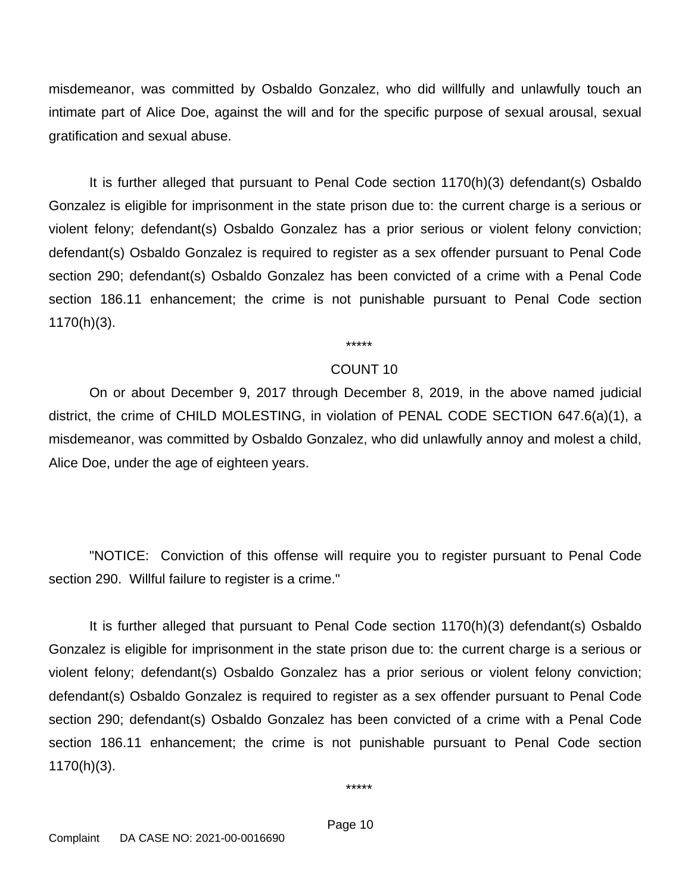misdemeanor, was committed by Osbaldo Gonzalez, who did willfully and unlawfully touch an intimate part of Alice Doe, against the will and for the specific purpose of sexual arousal, sexual gratification and sexual abuse.

It is further alleged that pursuant to Penal Code section 1170(h)(3) defendant(s) Osbaldo Gonzalez is eligible for imprisonment in the state prison due to: the current charge is a serious or violent felony; defendant(s) Osbaldo Gonzalez has a prior serious or violent felony conviction; defendant(s) Osbaldo Gonzalez is required to register as a sex offender pursuant to Penal Code section 290; defendant(s) Osbaldo Gonzalez has been convicted of a crime with a Penal Code section 186.11 enhancement; the crime is not punishable pursuant to Penal Code section 1170(h)(3).

\*\*\*\*\*

## COUNT 10

On or about December 9, 2017 through December 8, 2019, in the above named judicial district, the crime of CHILD MOLESTING, in violation of PENAL CODE SECTION 647.6(a)(1), a misdemeanor, was committed by Osbaldo Gonzalez, who did unlawfully annoy and molest a child, Alice Doe, under the age of eighteen years.

"NOTICE: Conviction of this offense will require you to register pursuant to Penal Code section 290. Willful failure to register is a crime."

It is further alleged that pursuant to Penal Code section 1170(h)(3) defendant(s) Osbaldo Gonzalez is eligible for imprisonment in the state prison due to: the current charge is a serious or violent felony; defendant(s) Osbaldo Gonzalez has a prior serious or violent felony conviction; defendant(s) Osbaldo Gonzalez is required to register as a sex offender pursuant to Penal Code section 290; defendant(s) Osbaldo Gonzalez has been convicted of a crime with a Penal Code section 186.11 enhancement; the crime is not punishable pursuant to Penal Code section 1170(h)(3).

\*\*\*\*\*